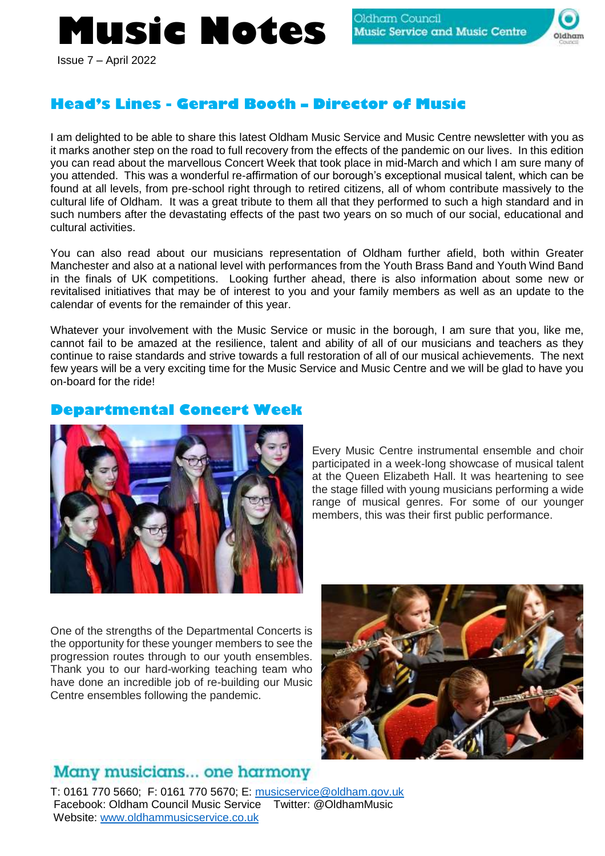# **Music Notes**



Issue 7 – April 2022

## **Head's Lines - Gerard Booth – Director of Music**

I am delighted to be able to share this latest Oldham Music Service and Music Centre newsletter with you as it marks another step on the road to full recovery from the effects of the pandemic on our lives. In this edition you can read about the marvellous Concert Week that took place in mid-March and which I am sure many of you attended. This was a wonderful re-affirmation of our borough's exceptional musical talent, which can be found at all levels, from pre-school right through to retired citizens, all of whom contribute massively to the cultural life of Oldham. It was a great tribute to them all that they performed to such a high standard and in such numbers after the devastating effects of the past two years on so much of our social, educational and cultural activities.

You can also read about our musicians representation of Oldham further afield, both within Greater Manchester and also at a national level with performances from the Youth Brass Band and Youth Wind Band in the finals of UK competitions. Looking further ahead, there is also information about some new or revitalised initiatives that may be of interest to you and your family members as well as an update to the calendar of events for the remainder of this year.

Whatever your involvement with the Music Service or music in the borough, I am sure that you, like me, cannot fail to be amazed at the resilience, talent and ability of all of our musicians and teachers as they continue to raise standards and strive towards a full restoration of all of our musical achievements. The next few years will be a very exciting time for the Music Service and Music Centre and we will be glad to have you on-board for the ride!

### **Departmental Concert Week**



Every Music Centre instrumental ensemble and choir participated in a week-long showcase of musical talent at the Queen Elizabeth Hall. It was heartening to see the stage filled with young musicians performing a wide range of musical genres. For some of our younger members, this was their first public performance.

One of the strengths of the Departmental Concerts is the opportunity for these younger members to see the progression routes through to our youth ensembles. Thank you to our hard-working teaching team who have done an incredible job of re-building our Music Centre ensembles following the pandemic.



# Many musicians... one harmony

T: 0161 770 5660; F: 0161 770 5670; E: [musicservice@oldham.gov.uk](mailto:musicservice@oldham.gov.uk) Facebook: Oldham Council Music Service Twitter: @OldhamMusic Website: [www.oldhammusicservice.co.uk](http://www.oldhammusicservice.co.uk/)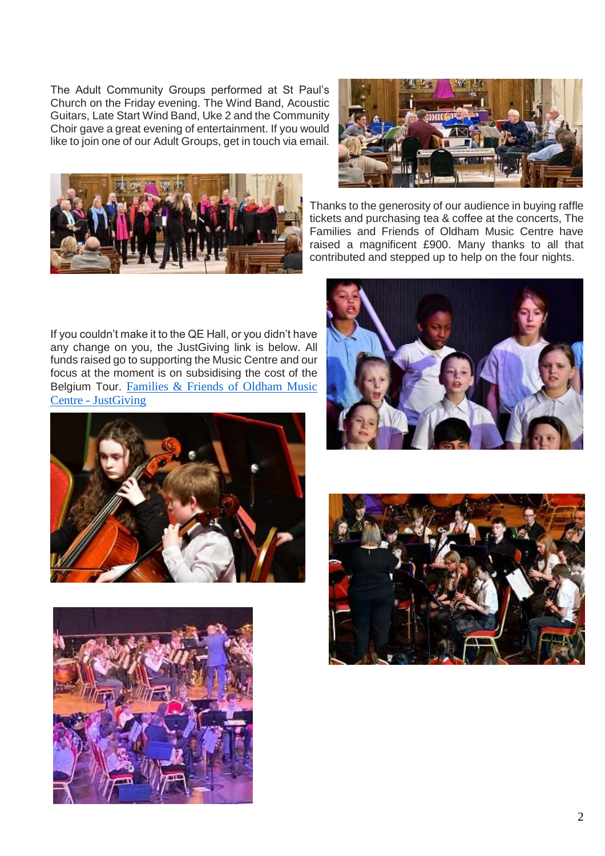The Adult Community Groups performed at St Paul's Church on the Friday evening. The Wind Band, Acoustic Guitars, Late Start Wind Band, Uke 2 and the Community Choir gave a great evening of entertainment. If you would like to join one of our Adult Groups, get in touch via email.





Thanks to the generosity of our audience in buying raffle tickets and purchasing tea & coffee at the concerts, The Families and Friends of Oldham Music Centre have raised a magnificent £900. Many thanks to all that contributed and stepped up to help on the four nights.

If you couldn't make it to the QE Hall, or you didn't have any change on you, the JustGiving link is below. All funds raised go to supporting the Music Centre and our focus at the moment is on subsidising the cost of the Belgium Tour. [Families & Friends of Oldham Music](https://www.justgiving.com/familiesandfriendsofoldhammusiccentre?fbclid=IwAR0P9qhJdSe4IarNb1nAVdbRTLP3Hm-vkNznthfvbqGdSIEtFwCl6JbukXw)  Centre - [JustGiving](https://www.justgiving.com/familiesandfriendsofoldhammusiccentre?fbclid=IwAR0P9qhJdSe4IarNb1nAVdbRTLP3Hm-vkNznthfvbqGdSIEtFwCl6JbukXw) 







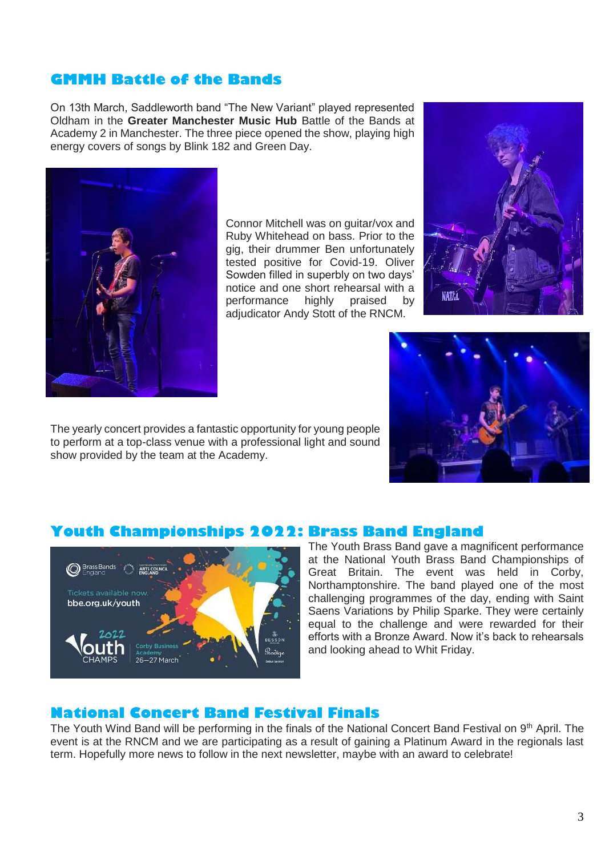## **GMMH Battle of the Bands**

On 13th March, Saddleworth band "The New Variant" played represented Oldham in the **Greater Manchester Music Hub** Battle of the Bands at Academy 2 in Manchester. The three piece opened the show, playing high energy covers of songs by Blink 182 and Green Day.



Connor Mitchell was on guitar/vox and Ruby Whitehead on bass. Prior to the gig, their drummer Ben unfortunately tested positive for Covid-19. Oliver Sowden filled in superbly on two days' notice and one short rehearsal with a performance highly praised by adjudicator Andy Stott of the RNCM.





The yearly concert provides a fantastic opportunity for young people to perform at a top-class venue with a professional light and sound show provided by the team at the Academy.

#### **Youth Championships 2022: Brass Band England**



The Youth Brass Band gave a magnificent performance at the National Youth Brass Band Championships of Great Britain. The event was held in Corby, Northamptonshire. The band played one of the most challenging programmes of the day, ending with Saint Saens Variations by Philip Sparke. They were certainly equal to the challenge and were rewarded for their efforts with a Bronze Award. Now it's back to rehearsals and looking ahead to Whit Friday.

#### **National Concert Band Festival Finals**

The Youth Wind Band will be performing in the finals of the National Concert Band Festival on 9<sup>th</sup> April. The event is at the RNCM and we are participating as a result of gaining a Platinum Award in the regionals last term. Hopefully more news to follow in the next newsletter, maybe with an award to celebrate!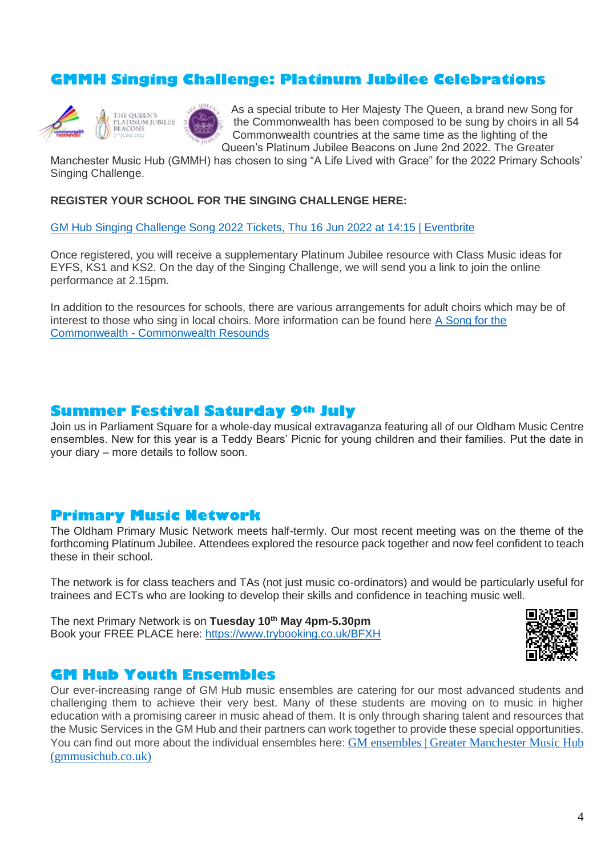## **GMMH Singing Challenge: Platinum Jubilee Celebrations**



THE OUEEN'S THE QUEEN S<br>PLATINUM JUBILEE<br>BEACONS

As a special tribute to Her Majesty The Queen, a brand new Song for the Commonwealth has been composed to be sung by choirs in all 54 Commonwealth countries at the same time as the lighting of the Queen's Platinum Jubilee Beacons on June 2nd 2022. The Greater

Manchester Music Hub (GMMH) has chosen to sing "A Life Lived with Grace" for the 2022 Primary Schools' Singing Challenge.

**REGISTER YOUR SCHOOL FOR THE SINGING CHALLENGE HERE:**

[GM Hub Singing Challenge Song 2022 Tickets, Thu 16 Jun 2022 at 14:15 | Eventbrite](https://www.eventbrite.co.uk/e/gm-hub-singing-challenge-song-2022-tickets-298202631097)

Once registered, you will receive a supplementary Platinum Jubilee resource with Class Music ideas for EYFS, KS1 and KS2. On the day of the Singing Challenge, we will send you a link to join the online performance at 2.15pm.

In addition to the resources for schools, there are various arrangements for adult choirs which may be of interest to those who sing in local choirs. More information can be found here [A Song for the](https://www.commonwealthresounds.com/projects/the-queens-platinum-jubilee/a-song-for-the-commonwealth/)  Commonwealth - [Commonwealth Resounds](https://www.commonwealthresounds.com/projects/the-queens-platinum-jubilee/a-song-for-the-commonwealth/)

#### **Summer Festival Saturday 9th July**

Join us in Parliament Square for a whole-day musical extravaganza featuring all of our Oldham Music Centre ensembles. New for this year is a Teddy Bears' Picnic for young children and their families. Put the date in your diary – more details to follow soon.

#### **Primary Music Network**

The Oldham Primary Music Network meets half-termly. Our most recent meeting was on the theme of the forthcoming Platinum Jubilee. Attendees explored the resource pack together and now feel confident to teach these in their school.

The network is for class teachers and TAs (not just music co-ordinators) and would be particularly useful for trainees and ECTs who are looking to develop their skills and confidence in teaching music well.

The next Primary Network is on **Tuesday 10th May 4pm-5.30pm** Book your FREE PLACE here: <https://www.trybooking.co.uk/BFXH>



#### **GM Hub Youth Ensembles**

Our ever-increasing range of GM Hub music ensembles are catering for our most advanced students and challenging them to achieve their very best. Many of these students are moving on to music in higher education with a promising career in music ahead of them. It is only through sharing talent and resources that the Music Services in the GM Hub and their partners can work together to provide these special opportunities. You can find out more about the individual ensembles here: [GM ensembles | Greater Manchester Music Hub](http://gmmusichub.co.uk/gm-ensembles/)  [\(gmmusichub.co.uk\)](http://gmmusichub.co.uk/gm-ensembles/)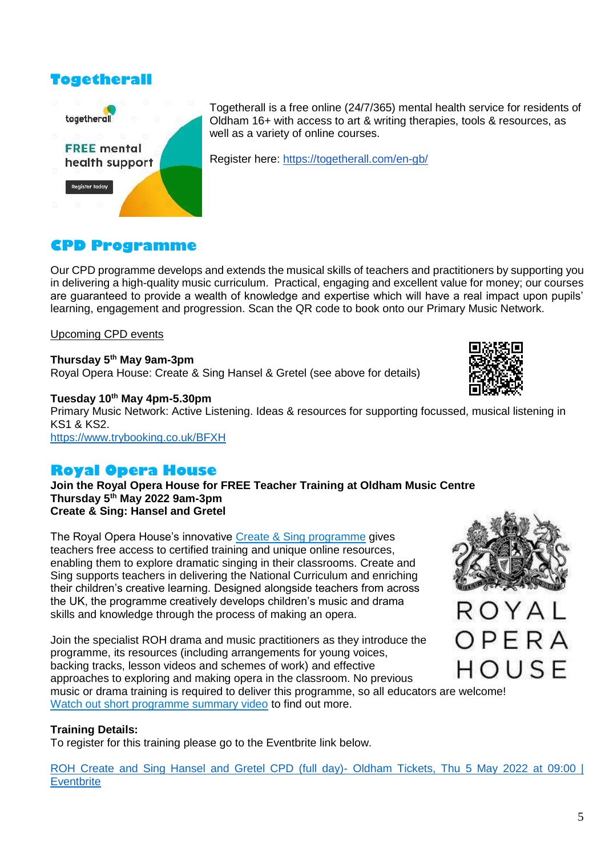## **Togetherall**



Togetherall is a free online (24/7/365) mental health service for residents of Oldham 16+ with access to art & writing therapies, tools & resources, as well as a variety of online courses.

Register here: <https://togetherall.com/en-gb/>

## **CPD Programme**

Our CPD programme develops and extends the musical skills of teachers and practitioners by supporting you in delivering a high-quality music curriculum. Practical, engaging and excellent value for money; our courses are guaranteed to provide a wealth of knowledge and expertise which will have a real impact upon pupils' learning, engagement and progression. Scan the QR code to book onto our Primary Music Network.

#### Upcoming CPD events

#### **Thursday 5th May 9am-3pm** Royal Opera House: Create & Sing Hansel & Gretel (see above for details)



**Tuesday 10th May 4pm-5.30pm** Primary Music Network: Active Listening. Ideas & resources for supporting focussed, musical listening in KS1 & KS2. <https://www.trybooking.co.uk/BFXH>

## **Royal Opera House**

**Join the Royal Opera House for FREE Teacher Training at Oldham Music Centre Thursday 5th May 2022 9am-3pm Create & Sing: Hansel and Gretel**

The Royal Opera House's innovative [Create & Sing programme](https://learning-platform.roh.org.uk/opera) gives teachers free access to certified training and unique online resources, enabling them to explore dramatic singing in their classrooms. Create and Sing supports teachers in delivering the National Curriculum and enriching their children's creative learning. Designed alongside teachers from across the UK, the programme creatively develops children's music and drama skills and knowledge through the process of making an opera.

Join the specialist ROH drama and music practitioners as they introduce the programme, its resources (including arrangements for young voices, backing tracks, lesson videos and schemes of work) and effective approaches to exploring and making opera in the classroom. No previous music or drama training is required to deliver this programme, so all educators are welcome! [Watch out short programme summary video](https://www.youtube.com/watch?v=WZJbDzA51eI&t=4s) to find out more.

#### **Training Details:**

To register for this training please go to the Eventbrite link below.

[ROH Create and Sing Hansel and Gretel CPD \(full day\)-](https://www.eventbrite.co.uk/e/roh-create-and-sing-hansel-and-gretel-cpd-full-day-oldham-tickets-208497721297) Oldham Tickets, Thu 5 May 2022 at 09:00 | **[Eventbrite](https://www.eventbrite.co.uk/e/roh-create-and-sing-hansel-and-gretel-cpd-full-day-oldham-tickets-208497721297)** 



OPERA HOUSE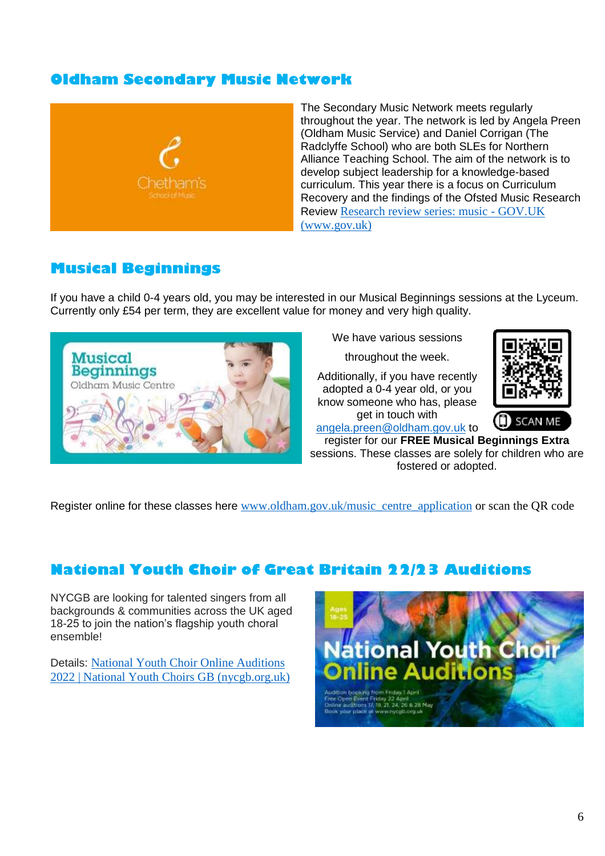## **Oldham Secondary Music Network**



The Secondary Music Network meets regularly throughout the year. The network is led by Angela Preen (Oldham Music Service) and Daniel Corrigan (The Radclyffe School) who are both SLEs for Northern Alliance Teaching School. The aim of the network is to develop subject leadership for a knowledge-based curriculum. This year there is a focus on Curriculum Recovery and the findings of the Ofsted Music Research Review [Research review series: music -](https://www.gov.uk/government/publications/research-review-series-music) GOV.UK [\(www.gov.uk\)](https://www.gov.uk/government/publications/research-review-series-music)

## **Musical Beginnings**

If you have a child 0-4 years old, you may be interested in our Musical Beginnings sessions at the Lyceum. Currently only £54 per term, they are excellent value for money and very high quality.



We have various sessions

throughout the week.

Additionally, if you have recently adopted a 0-4 year old, or you know someone who has, please get in touch with



[angela.preen@oldham.gov.uk](mailto:angela.preen@oldham.gov.uk) to

register for our **FREE Musical Beginnings Extra** sessions. These classes are solely for children who are fostered or adopted.

Register online for these classes here [www.oldham.gov.uk/music\\_centre\\_application](http://www.oldham.gov.uk/music_centre_application) or scan the QR code

## **National Youth Choir of Great Britain 22/23 Auditions**

NYCGB are looking for talented singers from all backgrounds & communities across the UK aged 18-25 to join the nation's flagship youth choral ensemble!

Details: [National Youth Choir Online Auditions](https://www.nycgb.org.uk/nyc-auditions-overview)  [2022 | National Youth Choirs GB \(nycgb.org.uk\)](https://www.nycgb.org.uk/nyc-auditions-overview)